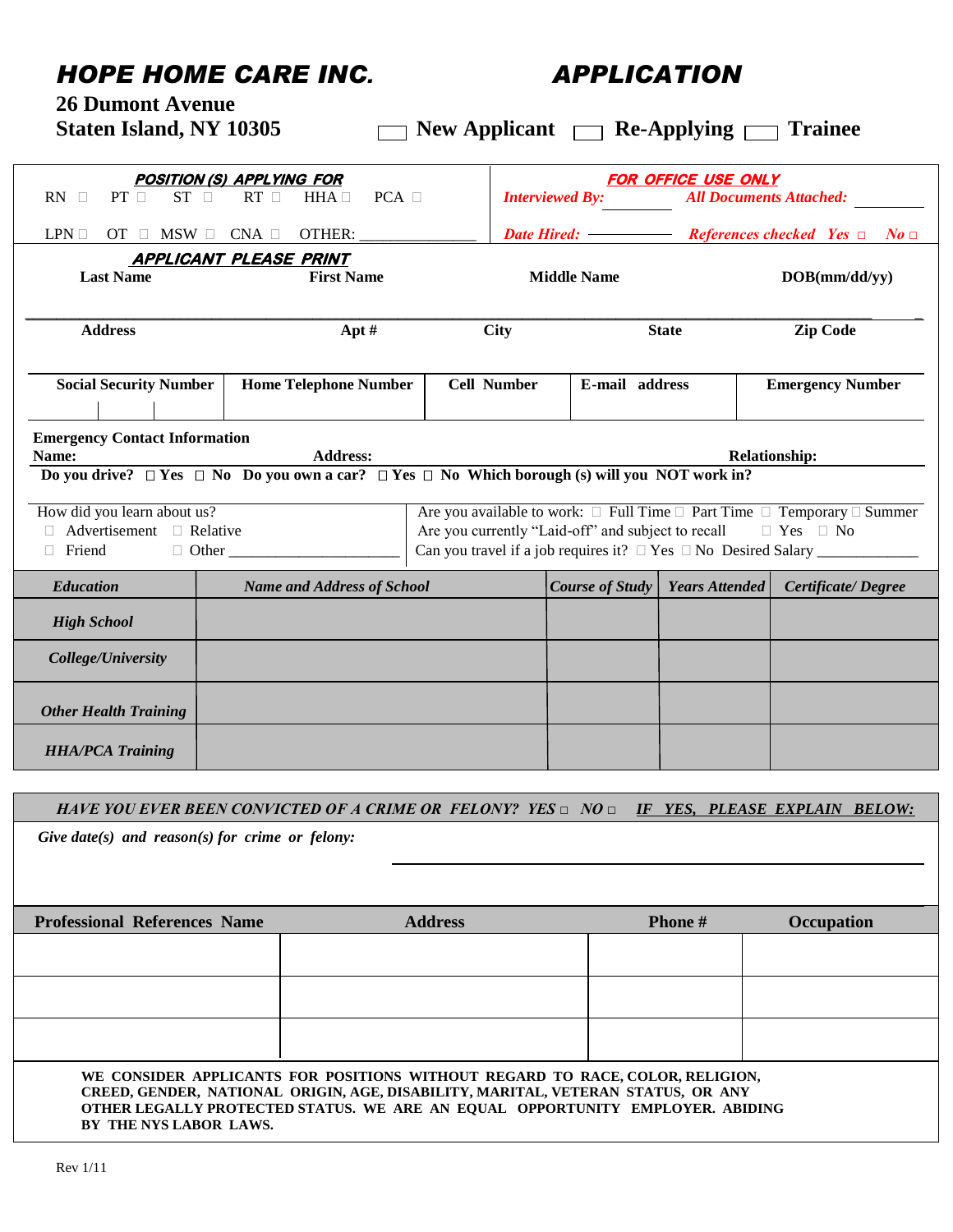## *HOPE HOME CARE INC. APPLICATION*

**26 Dumont Avenue** 

| Staten Island, NY 10305 | $\Box$ New Applicant $\Box$ Re-Applying $\Box$ Trainee |  |  |
|-------------------------|--------------------------------------------------------|--|--|
|-------------------------|--------------------------------------------------------|--|--|

| <b>POSITION (S) APPLYING FOR</b>                                                                     |                                                                                                                                      |                                                                                                                                                                                                                                                                   | <b>FOR OFFICE USE ONLY</b>                               |                       |                                               |  |  |  |
|------------------------------------------------------------------------------------------------------|--------------------------------------------------------------------------------------------------------------------------------------|-------------------------------------------------------------------------------------------------------------------------------------------------------------------------------------------------------------------------------------------------------------------|----------------------------------------------------------|-----------------------|-----------------------------------------------|--|--|--|
| $PT \Box$<br><b>ST</b><br>$RT \square$<br>$PCA$ $\square$<br>RN<br>$HHA \square$<br>$\Box$<br>$\Box$ |                                                                                                                                      |                                                                                                                                                                                                                                                                   | <b>Interviewed By:</b><br><b>All Documents Attached:</b> |                       |                                               |  |  |  |
| $LPN \square$<br>$MSW \Box$ CNA $\Box$ OTHER:<br>$OT$ $\square$                                      |                                                                                                                                      |                                                                                                                                                                                                                                                                   | <b>Date Hired: -</b>                                     |                       | References checked Yes $\Box$<br>$N$ o $\Box$ |  |  |  |
|                                                                                                      |                                                                                                                                      |                                                                                                                                                                                                                                                                   |                                                          |                       |                                               |  |  |  |
| <b>APPLICANT PLEASE PRINT</b><br><b>Last Name</b><br><b>First Name</b>                               |                                                                                                                                      | <b>Middle Name</b>                                                                                                                                                                                                                                                |                                                          |                       | DOB(mm/dd/yy)                                 |  |  |  |
| <b>Address</b>                                                                                       | Apt $#$                                                                                                                              | <b>City</b>                                                                                                                                                                                                                                                       | <b>State</b>                                             |                       | <b>Zip Code</b>                               |  |  |  |
| <b>Social Security Number</b>                                                                        | <b>Home Telephone Number</b>                                                                                                         | <b>Cell Number</b>                                                                                                                                                                                                                                                | E-mail address                                           |                       | <b>Emergency Number</b>                       |  |  |  |
| <b>Emergency Contact Information</b><br>Name:                                                        | <b>Address:</b><br>Do you drive? $\Box$ Yes $\Box$ No Do you own a car? $\Box$ Yes $\Box$ No Which borough (s) will you NOT work in? |                                                                                                                                                                                                                                                                   |                                                          |                       | <b>Relationship:</b>                          |  |  |  |
| How did you learn about us?<br>$\Box$ Advertisement $\Box$ Relative<br>$\Box$ Friend<br>$\Box$ Other |                                                                                                                                      | Are you available to work: $\square$ Full Time $\square$ Part Time $\square$ Temporary $\square$ Summer<br>Are you currently "Laid-off" and subject to recall<br>$\Box$ Yes $\Box$ No<br>Can you travel if a job requires it? $\Box$ Yes $\Box$ No Desired Salary |                                                          |                       |                                               |  |  |  |
| <b>Education</b>                                                                                     | <b>Name and Address of School</b>                                                                                                    |                                                                                                                                                                                                                                                                   | Course of Study                                          | <b>Years Attended</b> | Certificate/Degree                            |  |  |  |
| <b>High School</b>                                                                                   |                                                                                                                                      |                                                                                                                                                                                                                                                                   |                                                          |                       |                                               |  |  |  |
| College/University                                                                                   |                                                                                                                                      |                                                                                                                                                                                                                                                                   |                                                          |                       |                                               |  |  |  |
| <b>Other Health Training</b>                                                                         |                                                                                                                                      |                                                                                                                                                                                                                                                                   |                                                          |                       |                                               |  |  |  |
| <b>HHA/PCA Training</b>                                                                              |                                                                                                                                      |                                                                                                                                                                                                                                                                   |                                                          |                       |                                               |  |  |  |
|                                                                                                      |                                                                                                                                      |                                                                                                                                                                                                                                                                   |                                                          |                       |                                               |  |  |  |
|                                                                                                      | HAVE YOU EVER BEEN CONVICTED OF A CRIME OR FELONY? YES $\Box$ NO $\Box$ IF YES, PLEASE EXPLAIN BELOW:                                |                                                                                                                                                                                                                                                                   |                                                          |                       |                                               |  |  |  |

 *Give date(s) and reason(s) for crime or felony:*

| <b>Professional References Name</b> | <b>Address</b>                                                                                                                                                                                                                                     | <b>Phone</b> # | Occupation |
|-------------------------------------|----------------------------------------------------------------------------------------------------------------------------------------------------------------------------------------------------------------------------------------------------|----------------|------------|
|                                     |                                                                                                                                                                                                                                                    |                |            |
|                                     |                                                                                                                                                                                                                                                    |                |            |
|                                     |                                                                                                                                                                                                                                                    |                |            |
|                                     |                                                                                                                                                                                                                                                    |                |            |
| BY THE NYS LABOR LAWS.              | WE CONSIDER APPLICANTS FOR POSITIONS WITHOUT REGARD TO RACE, COLOR, RELIGION,<br>CREED, GENDER, NATIONAL ORIGIN, AGE, DISABILITY, MARITAL, VETERAN STATUS, OR ANY<br>OTHER LEGALLY PROTECTED STATUS. WE ARE AN EQUAL OPPORTUNITY EMPLOYER. ABIDING |                |            |